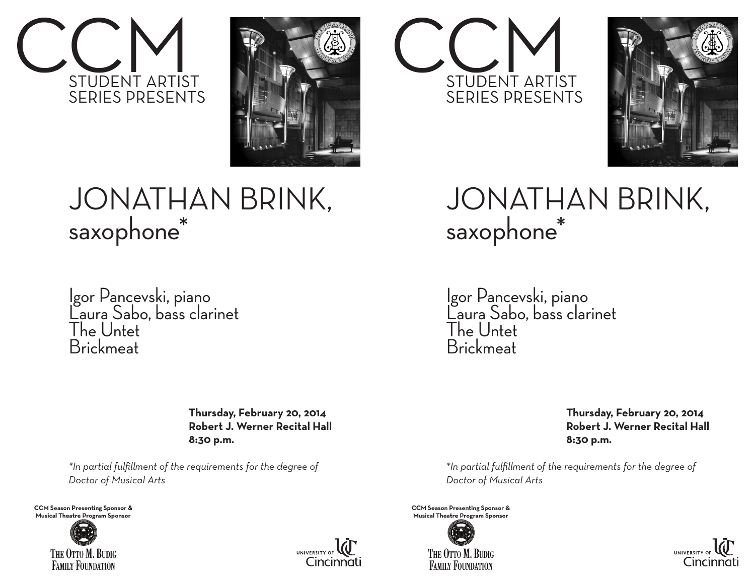



## JONATHAN BRINK, saxophone\*

Igor Pancevski, piano Laura Sabo, bass clarinet The Untet Brickmeat

> **Thursday, February 20, 2014 Robert J. Werner Recital Hall 8:30 p.m.**

*\*In partial fulfillment of the requirements for the degree of Doctor of Musical Arts* 

**CCM Season Presenting Sponsor & Musical Theatre Program Sponsor**